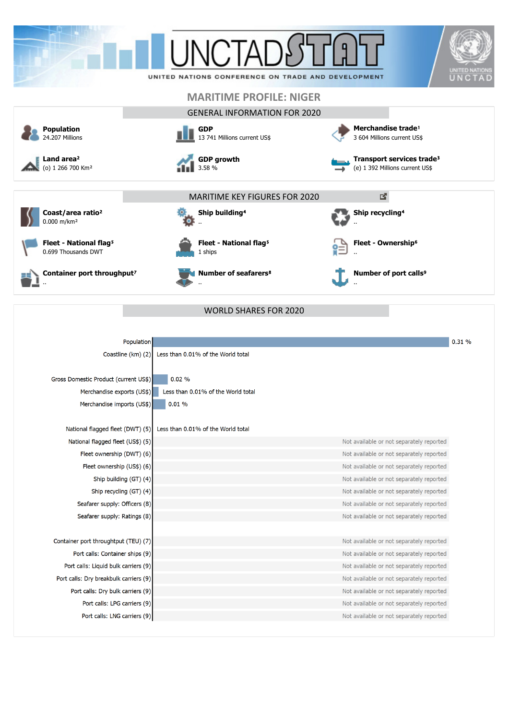



| Population                             |                                          | 0.31% |
|----------------------------------------|------------------------------------------|-------|
| Coastline (km) (2)                     | Less than 0.01% of the World total       |       |
|                                        |                                          |       |
| Gross Domestic Product (current US\$)  | 0.02%                                    |       |
| Merchandise exports (US\$)             | Less than 0.01% of the World total       |       |
| Merchandise imports (US\$)             | 0.01%                                    |       |
|                                        |                                          |       |
| National flagged fleet (DWT) (5)       | Less than 0.01% of the World total       |       |
| National flagged fleet (US\$) (5)      | Not available or not separately reported |       |
| Fleet ownership (DWT) (6)              | Not available or not separately reported |       |
| Fleet ownership (US\$) (6)             | Not available or not separately reported |       |
| Ship building (GT) (4)                 | Not available or not separately reported |       |
| Ship recycling (GT) (4)                | Not available or not separately reported |       |
| Seafarer supply: Officers (8)          | Not available or not separately reported |       |
| Seafarer supply: Ratings (8)           | Not available or not separately reported |       |
|                                        |                                          |       |
| Container port throughtput (TEU) (7)   | Not available or not separately reported |       |
| Port calls: Container ships (9)        | Not available or not separately reported |       |
| Port calls: Liquid bulk carriers (9)   | Not available or not separately reported |       |
| Port calls: Dry breakbulk carriers (9) | Not available or not separately reported |       |
| Port calls: Dry bulk carriers (9)      | Not available or not separately reported |       |
| Port calls: LPG carriers (9)           | Not available or not separately reported |       |
| Port calls: LNG carriers (9)           | Not available or not separately reported |       |

WORLD SHARES FOR 2020

..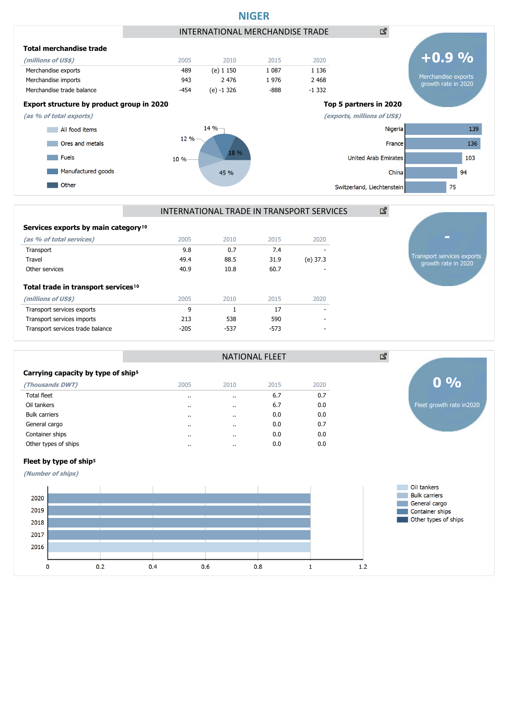



NATIONAL FLEET

| Services exports by main category <sup>10</sup> |  |
|-------------------------------------------------|--|
|-------------------------------------------------|--|

| (as % of total services)                        | 2005   | 2010   | 2015   | 2020     |
|-------------------------------------------------|--------|--------|--------|----------|
| Transport                                       | 9.8    | 0.7    | 7.4    |          |
| Travel                                          | 49.4   | 88.5   | 31.9   | (e) 37.3 |
| Other services                                  | 40.9   | 10.8   | 60.7   |          |
| Total trade in transport services <sup>10</sup> |        |        |        |          |
| (millions of US\$)                              | 2005   | 2010   | 2015   | 2020     |
| Transport services exports                      | 9      |        | 17     |          |
| Transport services imports                      | 213    | 538    | 590    |          |
| Transport services trade balance                | $-205$ | $-537$ | $-573$ |          |
|                                                 |        |        |        |          |



| (Thousands DWT)      | 2005                 | 2010                 | 2015 | 2020 |
|----------------------|----------------------|----------------------|------|------|
| Total fleet          | $\cdot$              | $\cdot$              | 6.7  | 0.7  |
| Oil tankers          | $\cdot$              | $\cdot$              | 6.7  | 0.0  |
| <b>Bulk carriers</b> | $\cdot$              | $\ddot{\phantom{0}}$ | 0.0  | 0.0  |
| General cargo        | $\cdot$              | $\cdot$              | 0.0  | 0.7  |
| Container ships      |                      | $\cdot$              | 0.0  | 0.0  |
| Other types of ships | $\ddot{\phantom{a}}$ | $\cdot$              | 0.0  | 0.0  |
|                      |                      |                      |      |      |



Transport services exports growth rate in 2020

### Fleet by type of ship<sup>5</sup>

**(Number of ships)**

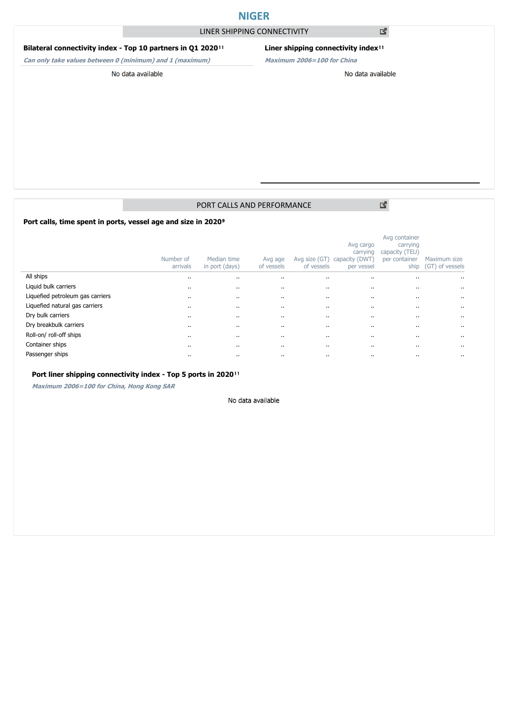# **NIGER**

## LINER SHIPPING CONNECTIVITY

### **Bilateral connectivity index - Top 10 partners in Q1 2020**<sup>11</sup>

**Can only take values between 0 (minimum) and 1 (maximum)**

## **Liner shipping connectivity index**<sup>11</sup>

**Maximum 2006=100 for China**

#### No data available

# No data available

## PORT CALLS AND PERFORMANCE

Port calls, time spent in ports, vessel age and size in 2020<sup>9</sup>

|                                  | Number of<br>arrivals | Median time<br>in port (days) | Avg age<br>of vessels | Avg size (GT)<br>of vessels | Avg cargo<br>carrying<br>capacity (DWT)<br>per vessel | Avg container<br>carrying<br>capacity (TEU)<br>per container<br>ship | Maximum size<br>(GT) of vessels |
|----------------------------------|-----------------------|-------------------------------|-----------------------|-----------------------------|-------------------------------------------------------|----------------------------------------------------------------------|---------------------------------|
| All ships                        | $\cdots$              |                               |                       |                             | $\cdots$                                              |                                                                      | $\cdots$                        |
| Liquid bulk carriers             | $\cdots$              |                               | $\cdot$               | $\cdots$                    | $\cdot$                                               |                                                                      | $\cdot$ .                       |
| Liquefied petroleum gas carriers | $\cdots$              |                               |                       | $\cdots$                    | $\cdots$                                              |                                                                      | $\cdots$                        |
| Liquefied natural gas carriers   | $\cdots$              |                               |                       | $\cdots$                    | $\cdots$                                              |                                                                      | $\cdot$ .                       |
| Dry bulk carriers                | $\cdots$              |                               |                       | $\cdots$                    | $\cdots$                                              |                                                                      | $\cdots$                        |
| Dry breakbulk carriers           | $\cdots$              |                               |                       | $\cdots$                    | $\cdots$                                              |                                                                      | $\cdots$                        |
| Roll-on/ roll-off ships          | $\cdots$              |                               | $\cdot$               | $\cdots$                    | $\cdots$                                              |                                                                      | $\cdot$ .                       |
| Container ships                  | $\cdots$              |                               |                       | $\cdots$                    | $\cdots$                                              |                                                                      | $\cdots$                        |
| Passenger ships                  | $\cdots$              |                               |                       | $\cdots$                    | $\cdots$                                              |                                                                      | $\cdots$                        |

#### Port liner shipping connectivity index - Top 5 ports in 2020<sup>11</sup>

**Maximum 2006=100 for China, Hong Kong SAR**

#### No data available

図

國